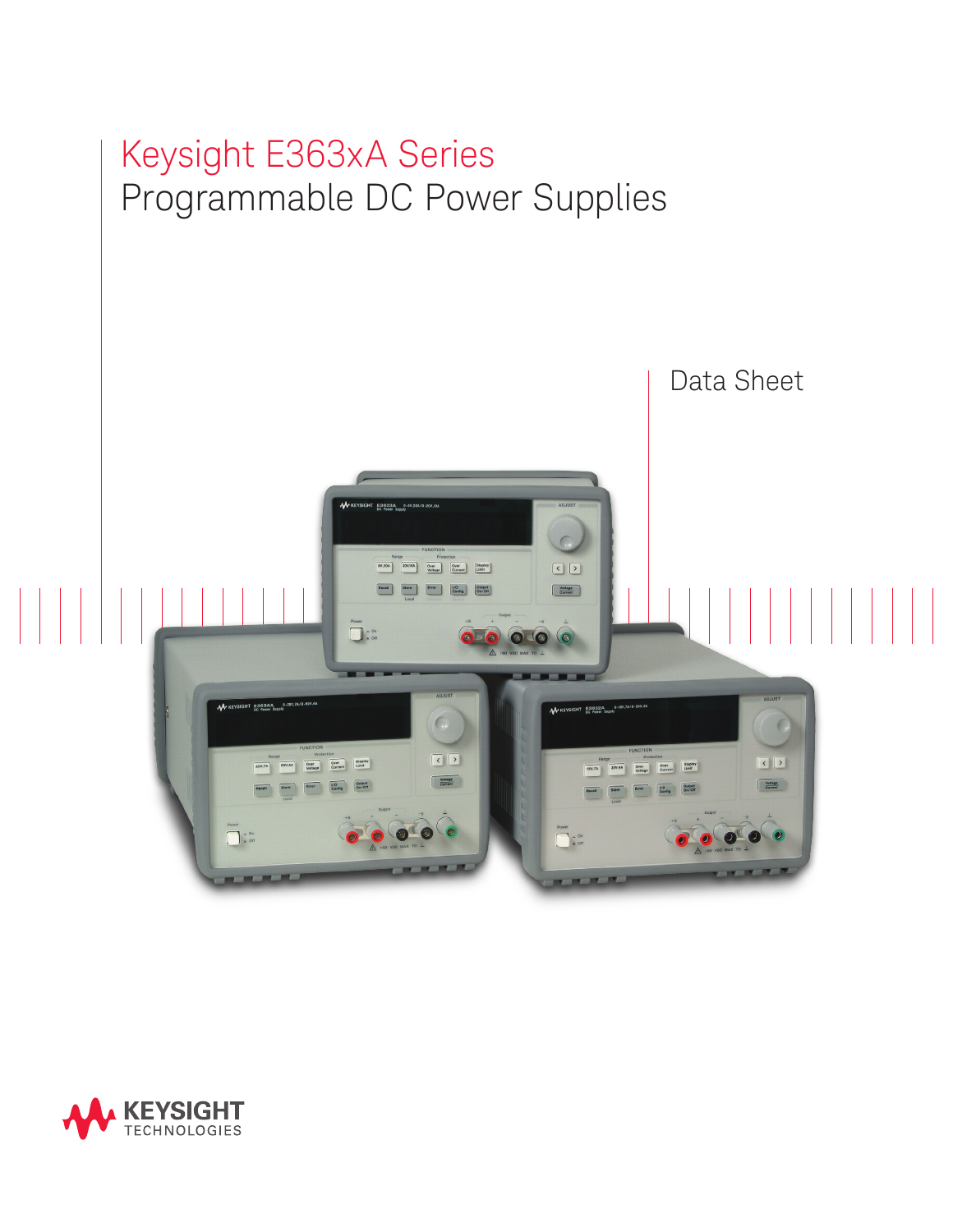

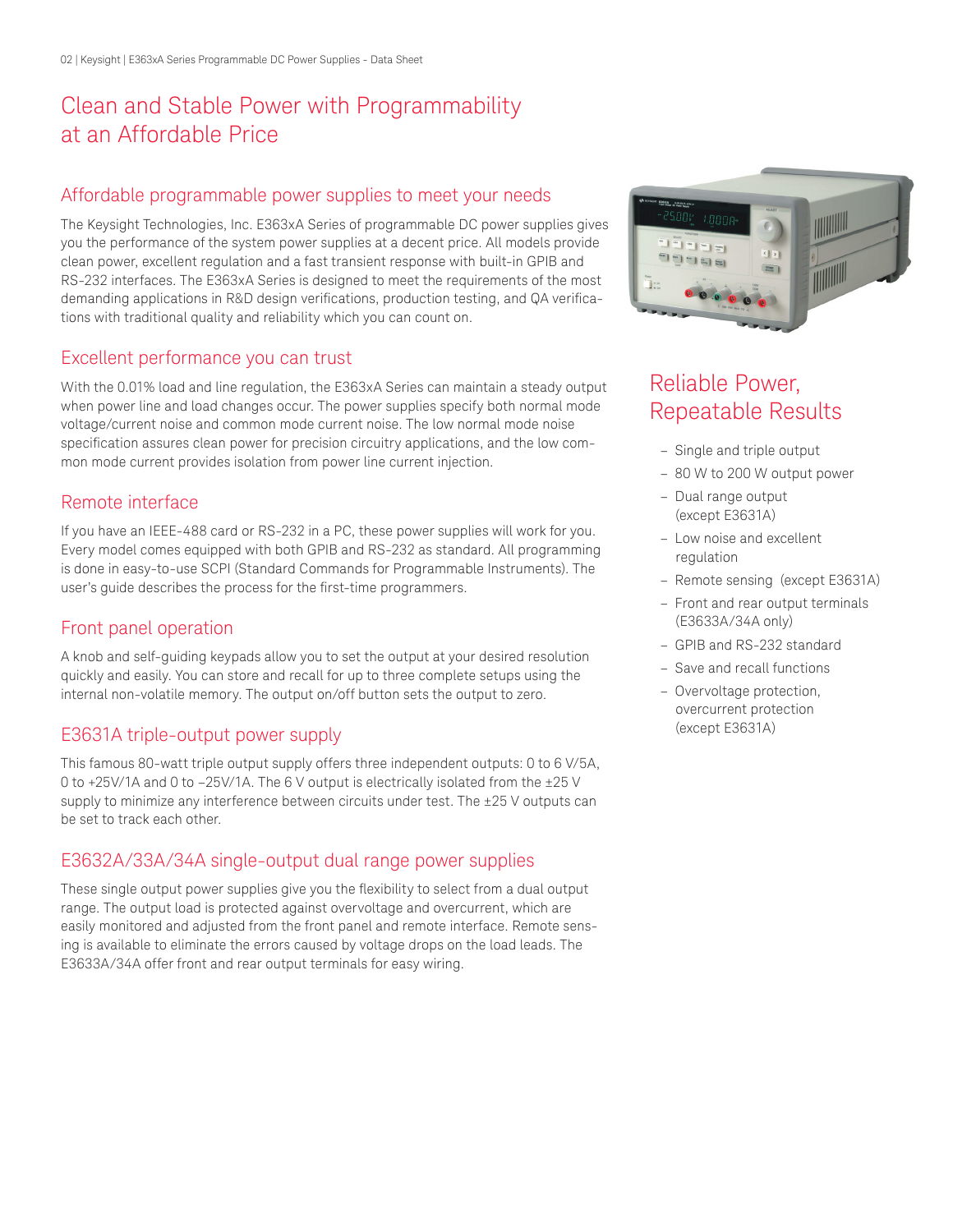# Clean and Stable Power with Programmability at an Affordable Price

# Affordable programmable power supplies to meet your needs

The Keysight Technologies, Inc. E363xA Series of programmable DC power supplies gives you the performance of the system power supplies at a decent price. All models provide clean power, excellent regulation and a fast transient response with built-in GPIB and RS-232 interfaces. The E363xA Series is designed to meet the requirements of the most demanding applications in R&D design verifications, production testing, and QA verifications with traditional quality and reliability which you can count on.

## Excellent performance you can trust

With the 0.01% load and line regulation, the E363xA Series can maintain a steady output when power line and load changes occur. The power supplies specify both normal mode voltage/current noise and common mode current noise. The low normal mode noise specification assures clean power for precision circuitry applications, and the low common mode current provides isolation from power line current injection.

## Remote interface

If you have an IEEE-488 card or RS-232 in a PC, these power supplies will work for you. Every model comes equipped with both GPIB and RS-232 as standard. All programming is done in easy-to-use SCPI (Standard Commands for Programmable Instruments). The user's guide describes the process for the first-time programmers.

## Front panel operation

A knob and self-guiding keypads allow you to set the output at your desired resolution quickly and easily. You can store and recall for up to three complete setups using the internal non-volatile memory. The output on/off button sets the output to zero.

## E3631A triple-output power supply

This famous 80-watt triple output supply offers three independent outputs: 0 to 6 V/5A, 0 to +25V/1A and 0 to –25V/1A. The 6 V output is electrically isolated from the ±25 V supply to minimize any interference between circuits under test. The ±25 V outputs can be set to track each other.

## E3632A/33A/34A single-output dual range power supplies

These single output power supplies give you the flexibility to select from a dual output range. The output load is protected against overvoltage and overcurrent, which are easily monitored and adjusted from the front panel and remote interface. Remote sensing is available to eliminate the errors caused by voltage drops on the load leads. The E3633A/34A offer front and rear output terminals for easy wiring.



# Reliable Power, Repeatable Results

- Single and triple output
- 80 W to 200 W output power
- Dual range output (except E3631A)
- Low noise and excellent regulation
- Remote sensing (except E3631A)
- Front and rear output terminals (E3633A/34A only)
- GPIB and RS-232 standard
- Save and recall functions
- Overvoltage protection, overcurrent protection (except E3631A)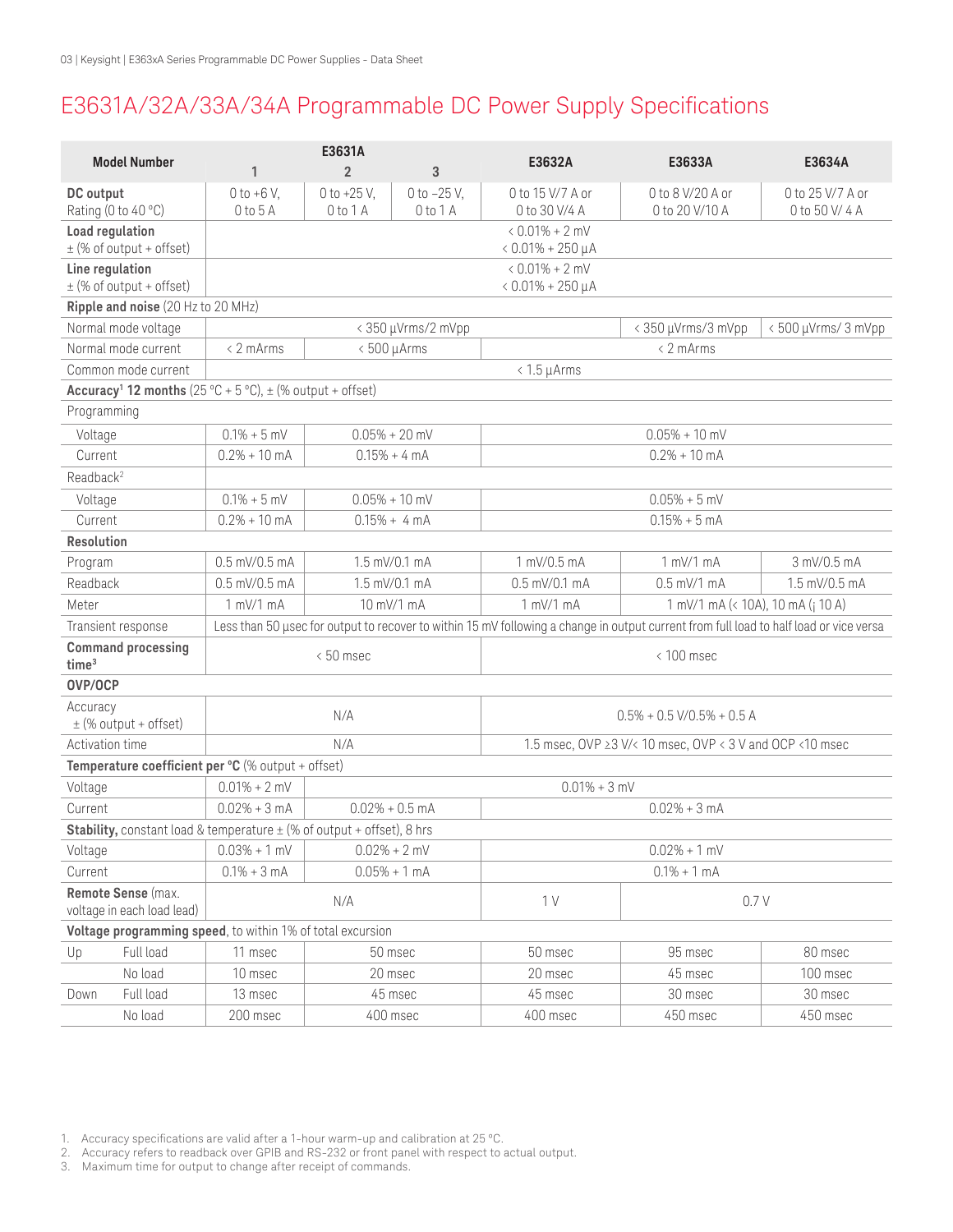# E3631A/32A/33A/34A Programmable DC Power Supply Specifications

| <b>Model Number</b>                              |                                    |                                                                                   | E3631A                        |                               | E3632A                                                                                                                                 | E3633A                             | E3634A                            |  |
|--------------------------------------------------|------------------------------------|-----------------------------------------------------------------------------------|-------------------------------|-------------------------------|----------------------------------------------------------------------------------------------------------------------------------------|------------------------------------|-----------------------------------|--|
|                                                  |                                    | 1                                                                                 | $\overline{2}$                | 3                             |                                                                                                                                        |                                    |                                   |  |
| DC output                                        | Rating (0 to 40 °C)                | $0 to +6 V,$<br>$0$ to $5$ A                                                      | 0 to $+25$ V,<br>$0$ to $1$ A | 0 to $-25$ V,<br>$0$ to $1$ A | 0 to 15 V/7 A or<br>0 to 30 V/4 A                                                                                                      | 0 to 8 V/20 A or<br>0 to 20 V/10 A | 0 to 25 V/7 A or<br>0 to 50 V/4 A |  |
| Load regulation<br>$\pm$ (% of output + offset)  |                                    |                                                                                   |                               |                               | $0.01\% + 2$ mV<br>$0.01\% + 250 \mu A$                                                                                                |                                    |                                   |  |
| Line regulation<br>$\pm$ (% of output + offset)  |                                    |                                                                                   |                               |                               | $0.01\% + 2$ mV<br>$0.01\% + 250 \mu A$                                                                                                |                                    |                                   |  |
|                                                  | Ripple and noise (20 Hz to 20 MHz) |                                                                                   |                               |                               |                                                                                                                                        |                                    |                                   |  |
| Normal mode voltage                              |                                    | < 350 µVrms/2 mVpp                                                                |                               |                               |                                                                                                                                        | < 350 µVrms/3 mVpp                 | <500 µVrms/3 mVpp                 |  |
| Normal mode current                              |                                    | $\leq$ 2 mArms                                                                    |                               | $< 500 \mu A$ rms             | $\leq$ 2 mArms                                                                                                                         |                                    |                                   |  |
| Common mode current                              |                                    | $< 1.5 \mu A$ rms                                                                 |                               |                               |                                                                                                                                        |                                    |                                   |  |
|                                                  |                                    | Accuracy <sup>1</sup> 12 months (25 °C + 5 °C), $\pm$ (% output + offset)         |                               |                               |                                                                                                                                        |                                    |                                   |  |
| Programming                                      |                                    |                                                                                   |                               |                               |                                                                                                                                        |                                    |                                   |  |
| Voltage                                          |                                    | $0.1\% + 5$ mV                                                                    | $0.05\% + 20$ mV              |                               | $0.05\% + 10$ mV                                                                                                                       |                                    |                                   |  |
| Current                                          |                                    | $0.2% + 10$ mA                                                                    | $0.15% + 4 mA$                |                               | $0.2% + 10$ mA                                                                                                                         |                                    |                                   |  |
| Readback <sup>2</sup>                            |                                    |                                                                                   |                               |                               |                                                                                                                                        |                                    |                                   |  |
| Voltage                                          |                                    | $0.1\% + 5$ mV                                                                    | $0.05\% + 10$ mV              |                               | $0.05% + 5$ mV                                                                                                                         |                                    |                                   |  |
| Current                                          |                                    | $0.2% + 10$ mA                                                                    |                               | $0.15% + 4 mA$                | $0.15% + 5mA$                                                                                                                          |                                    |                                   |  |
| Resolution                                       |                                    |                                                                                   |                               |                               |                                                                                                                                        |                                    |                                   |  |
| Program                                          |                                    | $0.5$ mV/0.5 mA                                                                   | 1.5 mV/0.1 mA                 |                               | 1 mV/0.5 mA                                                                                                                            | 1 mV/1 mA                          | 3 mV/0.5 mA                       |  |
| Readback                                         |                                    | $0.5$ mV/0.5 mA                                                                   | 1.5 mV/0.1 mA                 |                               | $0.5$ mV/0.1 mA                                                                                                                        | $0.5$ mV/1 mA                      | 1.5 mV/0.5 mA                     |  |
| Meter                                            |                                    | $1$ mV/ $1$ mA                                                                    | 10 mV/1 mA                    |                               | $1$ mV/ $1$ mA                                                                                                                         | 1 mV/1 mA (< 10A), 10 mA (; 10 A)  |                                   |  |
| Transient response                               |                                    |                                                                                   |                               |                               | Less than 50 usec for output to recover to within 15 mV following a change in output current from full load to half load or vice versa |                                    |                                   |  |
| <b>Command processing</b><br>time <sup>3</sup>   |                                    | <50 msec                                                                          |                               |                               | $< 100$ msec                                                                                                                           |                                    |                                   |  |
| OVP/OCP                                          |                                    |                                                                                   |                               |                               |                                                                                                                                        |                                    |                                   |  |
| Accuracy<br>$\pm$ (% output + offset)            |                                    |                                                                                   | N/A                           |                               | $0.5\% + 0.5$ V/0.5% + 0.5 A                                                                                                           |                                    |                                   |  |
| Activation time                                  |                                    | N/A                                                                               |                               |                               | 1.5 msec, OVP ≥3 V/< 10 msec, OVP < 3 V and OCP < 10 msec                                                                              |                                    |                                   |  |
|                                                  |                                    | Temperature coefficient per °C (% output + offset)                                |                               |                               |                                                                                                                                        |                                    |                                   |  |
| Voltage                                          |                                    | $0.01\% + 2$ mV                                                                   |                               |                               | $0.01\% + 3$ mV                                                                                                                        |                                    |                                   |  |
| Current                                          |                                    | $0.02% + 3 mA$                                                                    | $0.02\% + 0.5$ mA             |                               | $0.02% + 3 mA$                                                                                                                         |                                    |                                   |  |
|                                                  |                                    | <b>Stability,</b> constant load & temperature $\pm$ (% of output + offset), 8 hrs |                               |                               |                                                                                                                                        |                                    |                                   |  |
| Voltage                                          |                                    | $0.03% + 1$ mV                                                                    | $0.02\% + 2$ mV               |                               | $0.02\% + 1$ mV                                                                                                                        |                                    |                                   |  |
| Current                                          |                                    | $0.1\% + 3$ mA                                                                    |                               | $0.05% + 1 mA$                |                                                                                                                                        | $0.1\% + 1$ mA                     |                                   |  |
| Remote Sense (max.<br>voltage in each load lead) |                                    | N/A                                                                               |                               |                               | 1 <sub>V</sub>                                                                                                                         | 0.7V                               |                                   |  |
|                                                  |                                    | Voltage programming speed, to within 1% of total excursion                        |                               |                               |                                                                                                                                        |                                    |                                   |  |
| Up                                               | Full load                          | 11 msec                                                                           |                               | 50 msec                       | 50 msec                                                                                                                                | 95 msec                            | 80 msec                           |  |
|                                                  | No load                            | 10 msec                                                                           |                               | 20 msec                       | 20 msec                                                                                                                                | 45 msec                            | 100 msec                          |  |
| Down                                             | Full load                          | 13 msec                                                                           |                               | 45 msec                       | 45 msec                                                                                                                                | 30 msec                            | 30 msec                           |  |
|                                                  | No load                            | 200 msec                                                                          |                               | 400 msec                      | 400 msec                                                                                                                               | 450 msec                           | 450 msec                          |  |

1. Accuracy specifications are valid after a 1-hour warm-up and calibration at 25 ºC.

2. Accuracy refers to readback over GPIB and RS-232 or front panel with respect to actual output.

3. Maximum time for output to change after receipt of commands.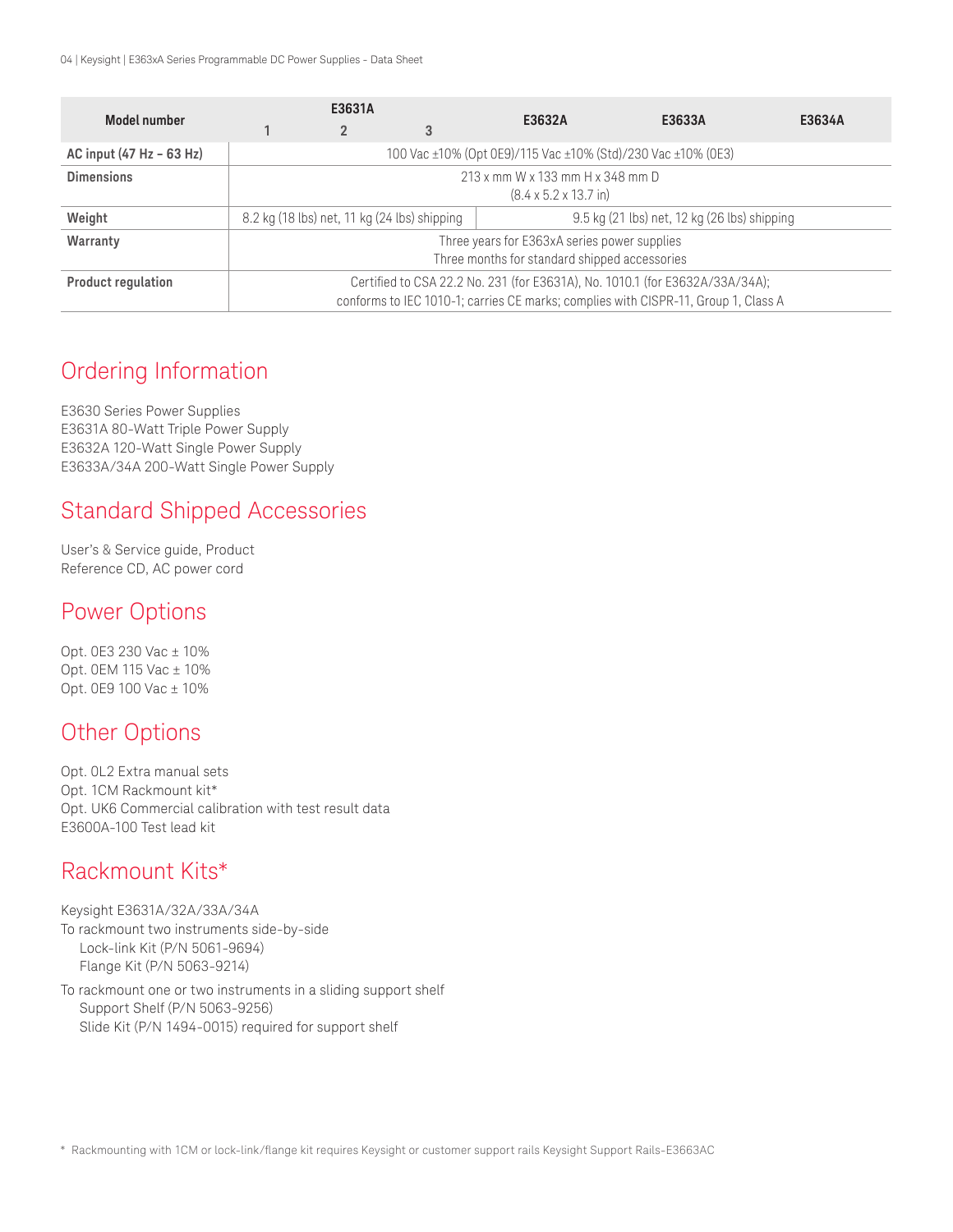04 | Keysight | E363xA Series Programmable DC Power Supplies - Data Sheet

|                           | E3631A                                                                             |  |                                              |        |        |        |  |  |
|---------------------------|------------------------------------------------------------------------------------|--|----------------------------------------------|--------|--------|--------|--|--|
| Model number              |                                                                                    |  | 3                                            | E3632A | E3633A | E3634A |  |  |
| AC input (47 Hz - 63 Hz)  | 100 Vac ±10% (Opt 0E9)/115 Vac ±10% (Std)/230 Vac ±10% (0E3)                       |  |                                              |        |        |        |  |  |
| <b>Dimensions</b>         | 213 x mm W x 133 mm H x 348 mm D                                                   |  |                                              |        |        |        |  |  |
|                           | $(8.4 \times 5.2 \times 13.7 \text{ in})$                                          |  |                                              |        |        |        |  |  |
| Weight                    | 8.2 kg (18 lbs) net, 11 kg (24 lbs) shipping                                       |  | 9.5 kg (21 lbs) net, 12 kg (26 lbs) shipping |        |        |        |  |  |
| Warranty                  | Three years for E363xA series power supplies                                       |  |                                              |        |        |        |  |  |
|                           | Three months for standard shipped accessories                                      |  |                                              |        |        |        |  |  |
| <b>Product regulation</b> | Certified to CSA 22.2 No. 231 (for E3631A), No. 1010.1 (for E3632A/33A/34A);       |  |                                              |        |        |        |  |  |
|                           | conforms to IEC 1010-1; carries CE marks; complies with CISPR-11, Group 1, Class A |  |                                              |        |        |        |  |  |

# Ordering Information

E3630 Series Power Supplies E3631A 80-Watt Triple Power Supply E3632A 120-Watt Single Power Supply E3633A/34A 200-Watt Single Power Supply

# Standard Shipped Accessories

User's & Service guide, Product Reference CD, AC power cord

# Power Options

Opt. 0E3 230 Vac ± 10% Opt. 0EM 115 Vac ± 10% Opt. 0E9 100 Vac ± 10%

# Other Options

Opt. 0L2 Extra manual sets Opt. 1CM Rackmount kit\* Opt. UK6 Commercial calibration with test result data E3600A-100 Test lead kit

# Rackmount Kits\*

Keysight E3631A/32A/33A/34A To rackmount two instruments side-by-side Lock-link Kit (P/N 5061-9694) Flange Kit (P/N 5063-9214)

To rackmount one or two instruments in a sliding support shelf Support Shelf (P/N 5063-9256) Slide Kit (P/N 1494-0015) required for support shelf

\* Rackmounting with 1CM or lock-link/flange kit requires Keysight or customer support rails Keysight Support Rails-E3663AC